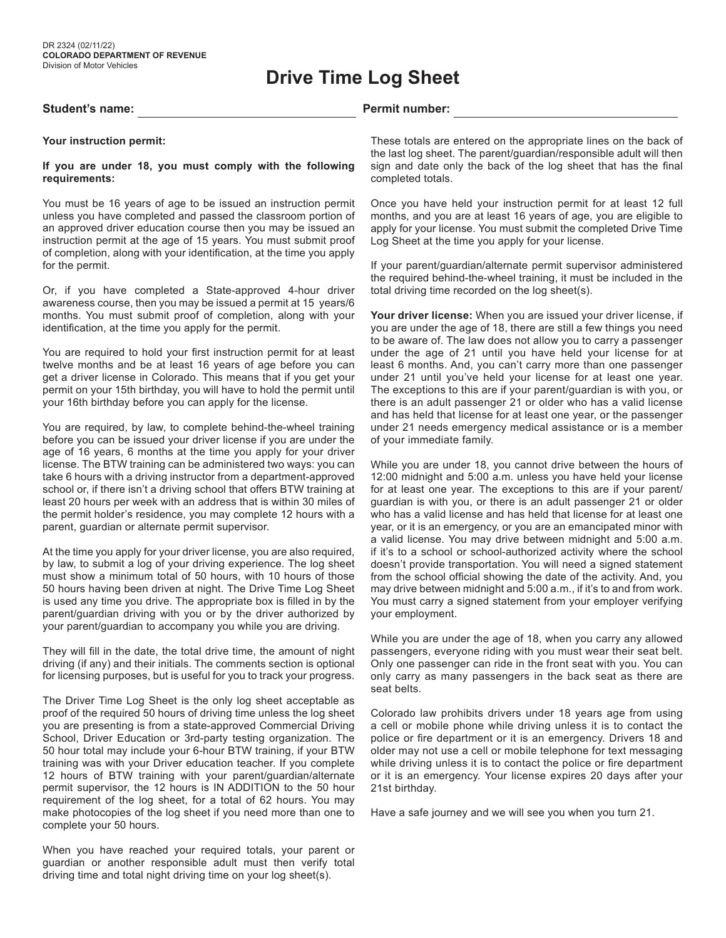# **Drive Time Log Sheet**

### Student's name: **Permit number: Permit number: Permit number: Permit number:**

### **Your instruction permit:**

### **If you are under 18, you must comply with the following requirements:**

You must be 16 years of age to be issued an instruction permit unless you have completed and passed the classroom portion of an approved driver education course then you may be issued an instruction permit at the age of 15 years. You must submit proof of completion, along with your identification, at the time you apply for the permit.

Or, if you have completed a State-approved 4-hour driver awareness course, then you may be issued a permit at 15 years/6 months. You must submit proof of completion, along with your identification, at the time you apply for the permit.

You are required to hold your first instruction permit for at least twelve months and be at least 16 years of age before you can get a driver license in Colorado. This means that if you get your permit on your 15th birthday, you will have to hold the permit until your 16th birthday before you can apply for the license.

You are required, by law, to complete behind-the-wheel training before you can be issued your driver license if you are under the age of 16 years, 6 months at the time you apply for your driver license. The BTW training can be administered two ways: you can take 6 hours with a driving instructor from a department-approved school or, if there isn't a driving school that offers BTW training at least 20 hours per week with an address that is within 30 miles of the permit holder's residence, you may complete 12 hours with a parent, guardian or alternate permit supervisor.

At the time you apply for your driver license, you are also required, by law, to submit a log of your driving experience. The log sheet must show a minimum total of 50 hours, with 10 hours of those 50 hours having been driven at night. The Drive Time Log Sheet is used any time you drive. The appropriate box is filled in by the parent/guardian driving with you or by the driver authorized by your parent/guardian to accompany you while you are driving.

They will fill in the date, the total drive time, the amount of night driving (if any) and their initials. The comments section is optional for licensing purposes, but is useful for you to track your progress.

The Driver Time Log Sheet is the only log sheet acceptable as proof of the required 50 hours of driving time unless the log sheet you are presenting is from a state-approved Commercial Driving School, Driver Education or 3rd-party testing organization. The 50 hour total may include your 6-hour BTW training, if your BTW training was with your Driver education teacher. If you complete 12 hours of BTW training with your parent/guardian/alternate permit supervisor, the 12 hours is IN ADDITION to the 50 hour requirement of the log sheet, for a total of 62 hours. You may make photocopies of the log sheet if you need more than one to complete your 50 hours.

When you have reached your required totals, your parent or guardian or another responsible adult must then verify total driving time and total night driving time on your log sheet(s).

These totals are entered on the appropriate lines on the back of the last log sheet. The parent/guardian/responsible adult will then sign and date only the back of the log sheet that has the final completed totals.

Once you have held your instruction permit for at least 12 full months, and you are at least 16 years of age, you are eligible to apply for your license. You must submit the completed Drive Time Log Sheet at the time you apply for your license.

If your parent/guardian/alternate permit supervisor administered the required behind-the-wheel training, it must be included in the total driving time recorded on the log sheet(s).

**Your driver license:** When you are issued your driver license, if you are under the age of 18, there are still a few things you need to be aware of. The law does not allow you to carry a passenger under the age of 21 until you have held your license for at least 6 months. And, you can't carry more than one passenger under 21 until you've held your license for at least one year. The exceptions to this are if your parent/guardian is with you, or there is an adult passenger 21 or older who has a valid license and has held that license for at least one year, or the passenger under 21 needs emergency medical assistance or is a member of your immediate family.

While you are under 18, you cannot drive between the hours of 12:00 midnight and 5:00 a.m. unless you have held your license for at least one year. The exceptions to this are if your parent/ guardian is with you, or there is an adult passenger 21 or older who has a valid license and has held that license for at least one year, or it is an emergency, or you are an emancipated minor with a valid license. You may drive between midnight and 5:00 a.m. if it's to a school or school-authorized activity where the school doesn't provide transportation. You will need a signed statement from the school official showing the date of the activity. And, you may drive between midnight and 5:00 a.m., if it's to and from work. You must carry a signed statement from your employer verifying your employment.

While you are under the age of 18, when you carry any allowed passengers, everyone riding with you must wear their seat belt. Only one passenger can ride in the front seat with you. You can only carry as many passengers in the back seat as there are seat belts.

Colorado law prohibits drivers under 18 years age from using a cell or mobile phone while driving unless it is to contact the police or fire department or it is an emergency. Drivers 18 and older may not use a cell or mobile telephone for text messaging while driving unless it is to contact the police or fire department or it is an emergency. Your license expires 20 days after your 21st birthday.

Have a safe journey and we will see you when you turn 21.